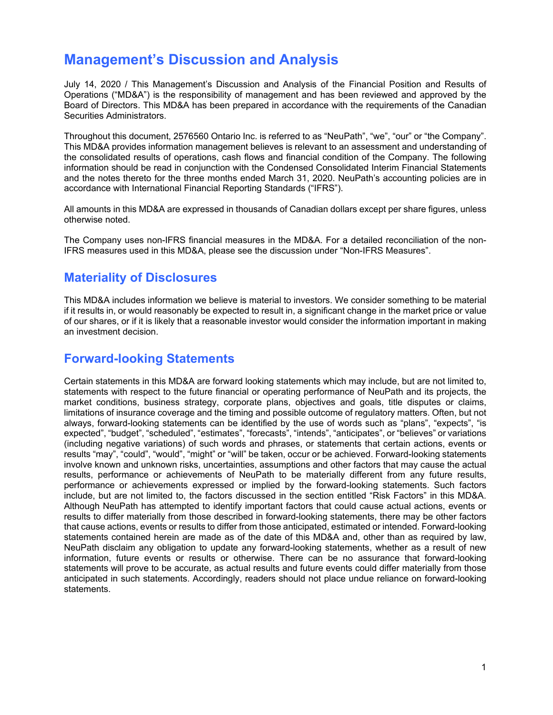# **Management's Discussion and Analysis**

July 14, 2020 / This Management's Discussion and Analysis of the Financial Position and Results of Operations ("MD&A") is the responsibility of management and has been reviewed and approved by the Board of Directors. This MD&A has been prepared in accordance with the requirements of the Canadian Securities Administrators.

Throughout this document, 2576560 Ontario Inc. is referred to as "NeuPath", "we", "our" or "the Company". This MD&A provides information management believes is relevant to an assessment and understanding of the consolidated results of operations, cash flows and financial condition of the Company. The following information should be read in conjunction with the Condensed Consolidated Interim Financial Statements and the notes thereto for the three months ended March 31, 2020. NeuPath's accounting policies are in accordance with International Financial Reporting Standards ("IFRS").

All amounts in this MD&A are expressed in thousands of Canadian dollars except per share figures, unless otherwise noted.

The Company uses non-IFRS financial measures in the MD&A. For a detailed reconciliation of the non-IFRS measures used in this MD&A, please see the discussion under "Non-IFRS Measures".

### **Materiality of Disclosures**

This MD&A includes information we believe is material to investors. We consider something to be material if it results in, or would reasonably be expected to result in, a significant change in the market price or value of our shares, or if it is likely that a reasonable investor would consider the information important in making an investment decision.

### **Forward-looking Statements**

Certain statements in this MD&A are forward looking statements which may include, but are not limited to, statements with respect to the future financial or operating performance of NeuPath and its projects, the market conditions, business strategy, corporate plans, objectives and goals, title disputes or claims, limitations of insurance coverage and the timing and possible outcome of regulatory matters. Often, but not always, forward-looking statements can be identified by the use of words such as "plans", "expects", "is expected", "budget", "scheduled", "estimates", "forecasts", "intends", "anticipates", or "believes" or variations (including negative variations) of such words and phrases, or statements that certain actions, events or results "may", "could", "would", "might" or "will" be taken, occur or be achieved. Forward-looking statements involve known and unknown risks, uncertainties, assumptions and other factors that may cause the actual results, performance or achievements of NeuPath to be materially different from any future results, performance or achievements expressed or implied by the forward-looking statements. Such factors include, but are not limited to, the factors discussed in the section entitled "Risk Factors" in this MD&A. Although NeuPath has attempted to identify important factors that could cause actual actions, events or results to differ materially from those described in forward-looking statements, there may be other factors that cause actions, events or results to differ from those anticipated, estimated or intended. Forward-looking statements contained herein are made as of the date of this MD&A and, other than as required by law, NeuPath disclaim any obligation to update any forward-looking statements, whether as a result of new information, future events or results or otherwise. There can be no assurance that forward-looking statements will prove to be accurate, as actual results and future events could differ materially from those anticipated in such statements. Accordingly, readers should not place undue reliance on forward-looking statements.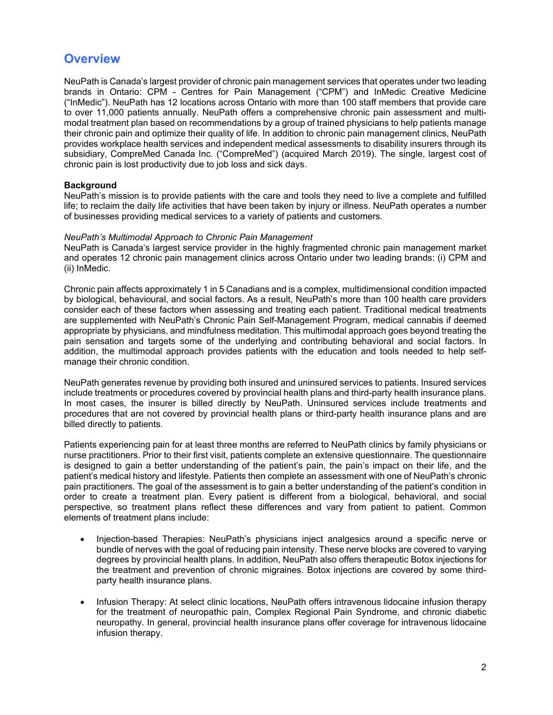## **Overview**

NeuPath is Canada's largest provider of chronic pain management services that operates under two leading brands in Ontario: CPM - Centres for Pain Management ("CPM") and InMedic Creative Medicine ("InMedic"). NeuPath has 12 locations across Ontario with more than 100 staff members that provide care to over 11,000 patients annually. NeuPath offers a comprehensive chronic pain assessment and multimodal treatment plan based on recommendations by a group of trained physicians to help patients manage their chronic pain and optimize their quality of life. In addition to chronic pain management clinics, NeuPath provides workplace health services and independent medical assessments to disability insurers through its subsidiary, CompreMed Canada Inc. ("CompreMed") (acquired March 2019). The single, largest cost of chronic pain is lost productivity due to job loss and sick days.

### **Background**

NeuPath's mission is to provide patients with the care and tools they need to live a complete and fulfilled life; to reclaim the daily life activities that have been taken by injury or illness. NeuPath operates a number of businesses providing medical services to a variety of patients and customers.

#### *NeuPath's Multimodal Approach to Chronic Pain Management*

NeuPath is Canada's largest service provider in the highly fragmented chronic pain management market and operates 12 chronic pain management clinics across Ontario under two leading brands: (i) CPM and (ii) InMedic.

Chronic pain affects approximately 1 in 5 Canadians and is a complex, multidimensional condition impacted by biological, behavioural, and social factors. As a result, NeuPath's more than 100 health care providers consider each of these factors when assessing and treating each patient. Traditional medical treatments are supplemented with NeuPath's Chronic Pain Self-Management Program, medical cannabis if deemed appropriate by physicians, and mindfulness meditation. This multimodal approach goes beyond treating the pain sensation and targets some of the underlying and contributing behavioral and social factors. In addition, the multimodal approach provides patients with the education and tools needed to help selfmanage their chronic condition.

NeuPath generates revenue by providing both insured and uninsured services to patients. Insured services include treatments or procedures covered by provincial health plans and third-party health insurance plans. In most cases, the insurer is billed directly by NeuPath. Uninsured services include treatments and procedures that are not covered by provincial health plans or third-party health insurance plans and are billed directly to patients.

Patients experiencing pain for at least three months are referred to NeuPath clinics by family physicians or nurse practitioners. Prior to their first visit, patients complete an extensive questionnaire. The questionnaire is designed to gain a better understanding of the patient's pain, the pain's impact on their life, and the patient's medical history and lifestyle. Patients then complete an assessment with one of NeuPath's chronic pain practitioners. The goal of the assessment is to gain a better understanding of the patient's condition in order to create a treatment plan. Every patient is different from a biological, behavioral, and social perspective, so treatment plans reflect these differences and vary from patient to patient. Common elements of treatment plans include:

- Injection-based Therapies: NeuPath's physicians inject analgesics around a specific nerve or bundle of nerves with the goal of reducing pain intensity. These nerve blocks are covered to varying degrees by provincial health plans. In addition, NeuPath also offers therapeutic Botox injections for the treatment and prevention of chronic migraines. Botox injections are covered by some thirdparty health insurance plans.
- Infusion Therapy: At select clinic locations, NeuPath offers intravenous lidocaine infusion therapy for the treatment of neuropathic pain, Complex Regional Pain Syndrome, and chronic diabetic neuropathy. In general, provincial health insurance plans offer coverage for intravenous lidocaine infusion therapy.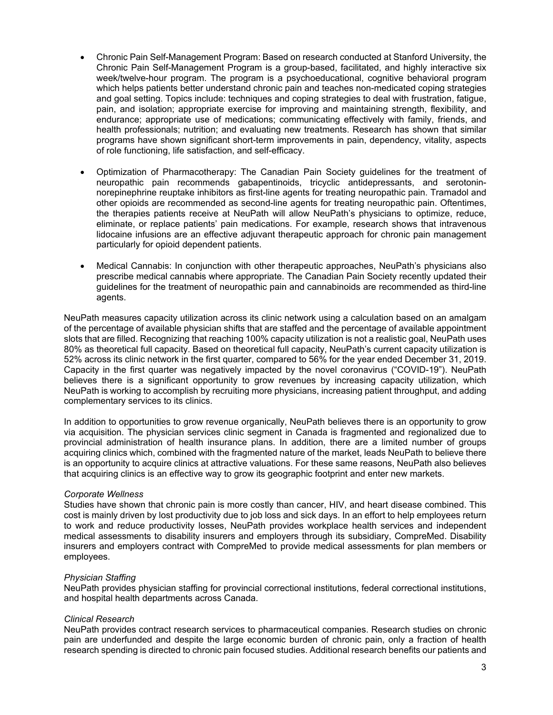- Chronic Pain Self-Management Program: Based on research conducted at Stanford University, the Chronic Pain Self-Management Program is a group-based, facilitated, and highly interactive six week/twelve-hour program. The program is a psychoeducational, cognitive behavioral program which helps patients better understand chronic pain and teaches non-medicated coping strategies and goal setting. Topics include: techniques and coping strategies to deal with frustration, fatigue, pain, and isolation; appropriate exercise for improving and maintaining strength, flexibility, and endurance; appropriate use of medications; communicating effectively with family, friends, and health professionals; nutrition; and evaluating new treatments. Research has shown that similar programs have shown significant short-term improvements in pain, dependency, vitality, aspects of role functioning, life satisfaction, and self-efficacy.
- Optimization of Pharmacotherapy: The Canadian Pain Society guidelines for the treatment of neuropathic pain recommends gabapentinoids, tricyclic antidepressants, and serotoninnorepinephrine reuptake inhibitors as first-line agents for treating neuropathic pain. Tramadol and other opioids are recommended as second-line agents for treating neuropathic pain. Oftentimes, the therapies patients receive at NeuPath will allow NeuPath's physicians to optimize, reduce, eliminate, or replace patients' pain medications. For example, research shows that intravenous lidocaine infusions are an effective adjuvant therapeutic approach for chronic pain management particularly for opioid dependent patients.
- Medical Cannabis: In conjunction with other therapeutic approaches, NeuPath's physicians also prescribe medical cannabis where appropriate. The Canadian Pain Society recently updated their guidelines for the treatment of neuropathic pain and cannabinoids are recommended as third-line agents.

NeuPath measures capacity utilization across its clinic network using a calculation based on an amalgam of the percentage of available physician shifts that are staffed and the percentage of available appointment slots that are filled. Recognizing that reaching 100% capacity utilization is not a realistic goal, NeuPath uses 80% as theoretical full capacity. Based on theoretical full capacity, NeuPath's current capacity utilization is 52% across its clinic network in the first quarter, compared to 56% for the year ended December 31, 2019. Capacity in the first quarter was negatively impacted by the novel coronavirus ("COVID-19"). NeuPath believes there is a significant opportunity to grow revenues by increasing capacity utilization, which NeuPath is working to accomplish by recruiting more physicians, increasing patient throughput, and adding complementary services to its clinics.

In addition to opportunities to grow revenue organically, NeuPath believes there is an opportunity to grow via acquisition. The physician services clinic segment in Canada is fragmented and regionalized due to provincial administration of health insurance plans. In addition, there are a limited number of groups acquiring clinics which, combined with the fragmented nature of the market, leads NeuPath to believe there is an opportunity to acquire clinics at attractive valuations. For these same reasons, NeuPath also believes that acquiring clinics is an effective way to grow its geographic footprint and enter new markets.

#### *Corporate Wellness*

Studies have shown that chronic pain is more costly than cancer, HIV, and heart disease combined. This cost is mainly driven by lost productivity due to job loss and sick days. In an effort to help employees return to work and reduce productivity losses, NeuPath provides workplace health services and independent medical assessments to disability insurers and employers through its subsidiary, CompreMed. Disability insurers and employers contract with CompreMed to provide medical assessments for plan members or employees.

#### *Physician Staffing*

NeuPath provides physician staffing for provincial correctional institutions, federal correctional institutions, and hospital health departments across Canada.

#### *Clinical Research*

NeuPath provides contract research services to pharmaceutical companies. Research studies on chronic pain are underfunded and despite the large economic burden of chronic pain, only a fraction of health research spending is directed to chronic pain focused studies. Additional research benefits our patients and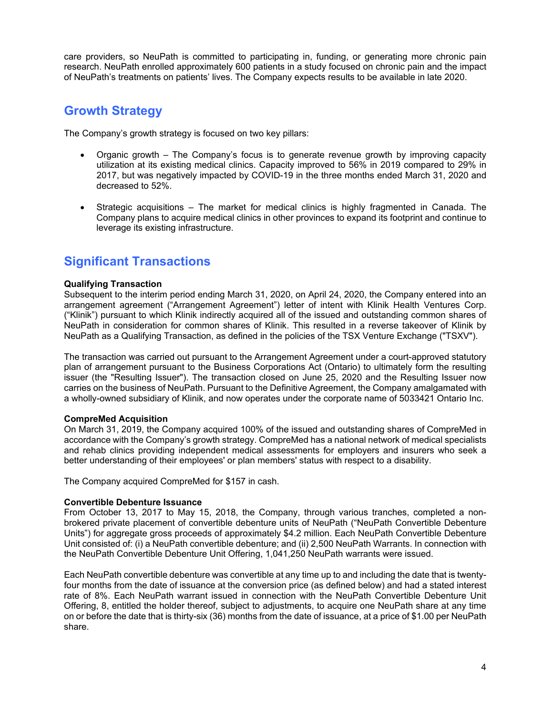care providers, so NeuPath is committed to participating in, funding, or generating more chronic pain research. NeuPath enrolled approximately 600 patients in a study focused on chronic pain and the impact of NeuPath's treatments on patients' lives. The Company expects results to be available in late 2020.

## **Growth Strategy**

The Company's growth strategy is focused on two key pillars:

- Organic growth The Company's focus is to generate revenue growth by improving capacity utilization at its existing medical clinics. Capacity improved to 56% in 2019 compared to 29% in 2017, but was negatively impacted by COVID-19 in the three months ended March 31, 2020 and decreased to 52%.
- Strategic acquisitions The market for medical clinics is highly fragmented in Canada. The Company plans to acquire medical clinics in other provinces to expand its footprint and continue to leverage its existing infrastructure.

## **Significant Transactions**

### **Qualifying Transaction**

Subsequent to the interim period ending March 31, 2020, on April 24, 2020, the Company entered into an arrangement agreement ("Arrangement Agreement") letter of intent with Klinik Health Ventures Corp. ("Klinik") pursuant to which Klinik indirectly acquired all of the issued and outstanding common shares of NeuPath in consideration for common shares of Klinik. This resulted in a reverse takeover of Klinik by NeuPath as a Qualifying Transaction, as defined in the policies of the TSX Venture Exchange ("TSXV").

The transaction was carried out pursuant to the Arrangement Agreement under a court-approved statutory plan of arrangement pursuant to the Business Corporations Act (Ontario) to ultimately form the resulting issuer (the "Resulting Issuer"). The transaction closed on June 25, 2020 and the Resulting Issuer now carries on the business of NeuPath. Pursuant to the Definitive Agreement, the Company amalgamated with a wholly-owned subsidiary of Klinik, and now operates under the corporate name of 5033421 Ontario Inc.

#### **CompreMed Acquisition**

On March 31, 2019, the Company acquired 100% of the issued and outstanding shares of CompreMed in accordance with the Company's growth strategy. CompreMed has a national network of medical specialists and rehab clinics providing independent medical assessments for employers and insurers who seek a better understanding of their employees' or plan members' status with respect to a disability.

The Company acquired CompreMed for \$157 in cash.

#### **Convertible Debenture Issuance**

From October 13, 2017 to May 15, 2018, the Company, through various tranches, completed a nonbrokered private placement of convertible debenture units of NeuPath ("NeuPath Convertible Debenture Units") for aggregate gross proceeds of approximately \$4.2 million. Each NeuPath Convertible Debenture Unit consisted of: (i) a NeuPath convertible debenture; and (ii) 2,500 NeuPath Warrants. In connection with the NeuPath Convertible Debenture Unit Offering, 1,041,250 NeuPath warrants were issued.

Each NeuPath convertible debenture was convertible at any time up to and including the date that is twentyfour months from the date of issuance at the conversion price (as defined below) and had a stated interest rate of 8%. Each NeuPath warrant issued in connection with the NeuPath Convertible Debenture Unit Offering, 8, entitled the holder thereof, subject to adjustments, to acquire one NeuPath share at any time on or before the date that is thirty-six (36) months from the date of issuance, at a price of \$1.00 per NeuPath share.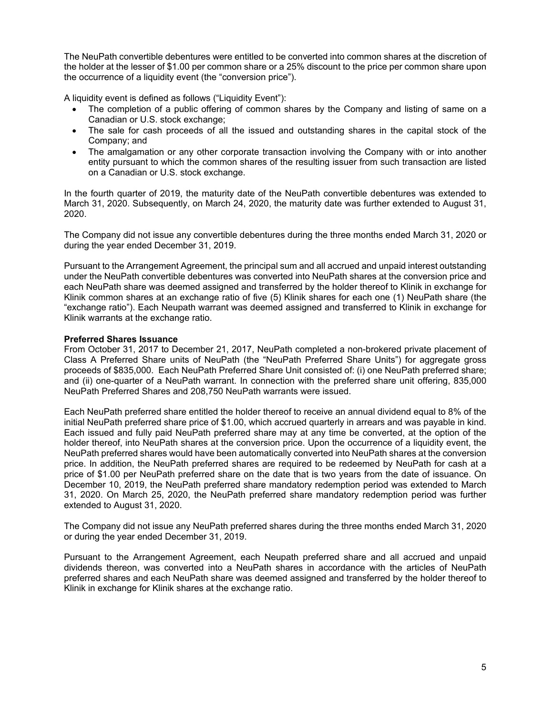The NeuPath convertible debentures were entitled to be converted into common shares at the discretion of the holder at the lesser of \$1.00 per common share or a 25% discount to the price per common share upon the occurrence of a liquidity event (the "conversion price").

A liquidity event is defined as follows ("Liquidity Event"):

- The completion of a public offering of common shares by the Company and listing of same on a Canadian or U.S. stock exchange;
- The sale for cash proceeds of all the issued and outstanding shares in the capital stock of the Company; and
- The amalgamation or any other corporate transaction involving the Company with or into another entity pursuant to which the common shares of the resulting issuer from such transaction are listed on a Canadian or U.S. stock exchange.

In the fourth quarter of 2019, the maturity date of the NeuPath convertible debentures was extended to March 31, 2020. Subsequently, on March 24, 2020, the maturity date was further extended to August 31, 2020.

The Company did not issue any convertible debentures during the three months ended March 31, 2020 or during the year ended December 31, 2019.

Pursuant to the Arrangement Agreement, the principal sum and all accrued and unpaid interest outstanding under the NeuPath convertible debentures was converted into NeuPath shares at the conversion price and each NeuPath share was deemed assigned and transferred by the holder thereof to Klinik in exchange for Klinik common shares at an exchange ratio of five (5) Klinik shares for each one (1) NeuPath share (the "exchange ratio"). Each Neupath warrant was deemed assigned and transferred to Klinik in exchange for Klinik warrants at the exchange ratio.

#### **Preferred Shares Issuance**

From October 31, 2017 to December 21, 2017, NeuPath completed a non-brokered private placement of Class A Preferred Share units of NeuPath (the "NeuPath Preferred Share Units") for aggregate gross proceeds of \$835,000. Each NeuPath Preferred Share Unit consisted of: (i) one NeuPath preferred share; and (ii) one-quarter of a NeuPath warrant. In connection with the preferred share unit offering, 835,000 NeuPath Preferred Shares and 208,750 NeuPath warrants were issued.

Each NeuPath preferred share entitled the holder thereof to receive an annual dividend equal to 8% of the initial NeuPath preferred share price of \$1.00, which accrued quarterly in arrears and was payable in kind. Each issued and fully paid NeuPath preferred share may at any time be converted, at the option of the holder thereof, into NeuPath shares at the conversion price. Upon the occurrence of a liquidity event, the NeuPath preferred shares would have been automatically converted into NeuPath shares at the conversion price. In addition, the NeuPath preferred shares are required to be redeemed by NeuPath for cash at a price of \$1.00 per NeuPath preferred share on the date that is two years from the date of issuance. On December 10, 2019, the NeuPath preferred share mandatory redemption period was extended to March 31, 2020. On March 25, 2020, the NeuPath preferred share mandatory redemption period was further extended to August 31, 2020.

The Company did not issue any NeuPath preferred shares during the three months ended March 31, 2020 or during the year ended December 31, 2019.

Pursuant to the Arrangement Agreement, each Neupath preferred share and all accrued and unpaid dividends thereon, was converted into a NeuPath shares in accordance with the articles of NeuPath preferred shares and each NeuPath share was deemed assigned and transferred by the holder thereof to Klinik in exchange for Klinik shares at the exchange ratio.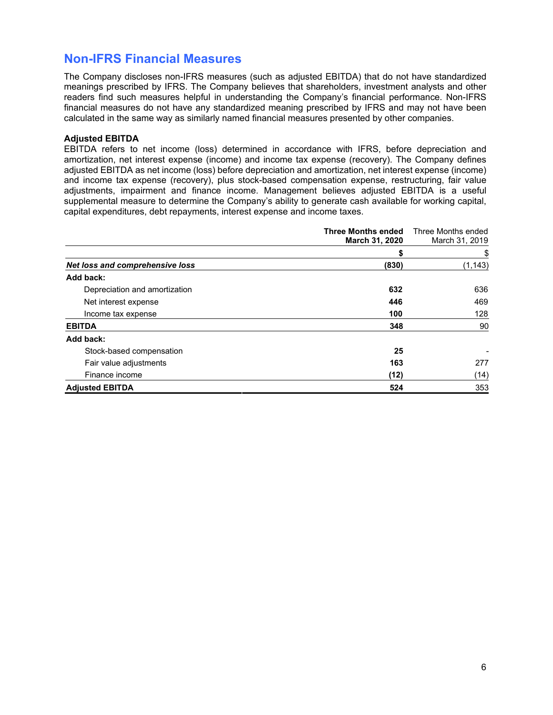## **Non-IFRS Financial Measures**

The Company discloses non-IFRS measures (such as adjusted EBITDA) that do not have standardized meanings prescribed by IFRS. The Company believes that shareholders, investment analysts and other readers find such measures helpful in understanding the Company's financial performance. Non-IFRS financial measures do not have any standardized meaning prescribed by IFRS and may not have been calculated in the same way as similarly named financial measures presented by other companies.

### **Adjusted EBITDA**

EBITDA refers to net income (loss) determined in accordance with IFRS, before depreciation and amortization, net interest expense (income) and income tax expense (recovery). The Company defines adjusted EBITDA as net income (loss) before depreciation and amortization, net interest expense (income) and income tax expense (recovery), plus stock-based compensation expense, restructuring, fair value adjustments, impairment and finance income. Management believes adjusted EBITDA is a useful supplemental measure to determine the Company's ability to generate cash available for working capital, capital expenditures, debt repayments, interest expense and income taxes.

|                                 | <b>Three Months ended</b><br>March 31, 2020 | Three Months ended<br>March 31, 2019 |
|---------------------------------|---------------------------------------------|--------------------------------------|
|                                 | S                                           | \$                                   |
| Net loss and comprehensive loss | (830)                                       | (1, 143)                             |
| Add back:                       |                                             |                                      |
| Depreciation and amortization   | 632                                         | 636                                  |
| Net interest expense            | 446                                         | 469                                  |
| Income tax expense              | 100                                         | 128                                  |
| <b>EBITDA</b>                   | 348                                         | 90                                   |
| Add back:                       |                                             |                                      |
| Stock-based compensation        | 25                                          |                                      |
| Fair value adjustments          | 163                                         | 277                                  |
| Finance income                  | (12)                                        | (14)                                 |
| <b>Adjusted EBITDA</b>          | 524                                         | 353                                  |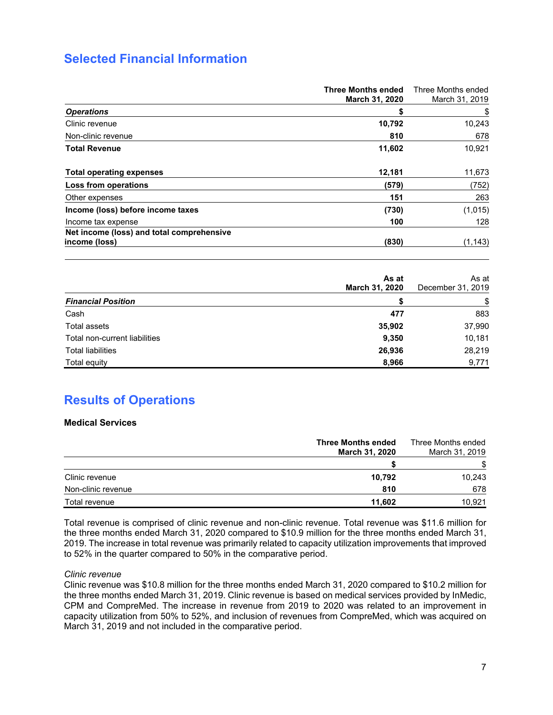## **Selected Financial Information**

|                                                            | <b>Three Months ended</b><br>March 31, 2020 | Three Months ended<br>March 31, 2019 |
|------------------------------------------------------------|---------------------------------------------|--------------------------------------|
| <b>Operations</b>                                          | S                                           | \$                                   |
| Clinic revenue                                             | 10,792                                      | 10,243                               |
| Non-clinic revenue                                         | 810                                         | 678                                  |
| <b>Total Revenue</b>                                       | 11,602                                      | 10,921                               |
| <b>Total operating expenses</b>                            | 12,181                                      | 11,673                               |
| Loss from operations                                       | (579)                                       | (752)                                |
| Other expenses                                             | 151                                         | 263                                  |
| Income (loss) before income taxes                          | (730)                                       | (1,015)                              |
| Income tax expense                                         | 100                                         | 128                                  |
| Net income (loss) and total comprehensive<br>income (loss) | (830)                                       | (1, 143)                             |

|                               | As at<br>March 31, 2020 | As at<br>December 31, 2019 |
|-------------------------------|-------------------------|----------------------------|
| <b>Financial Position</b>     |                         | \$                         |
| Cash                          | 477                     | 883                        |
| Total assets                  | 35,902                  | 37,990                     |
| Total non-current liabilities | 9,350                   | 10,181                     |
| <b>Total liabilities</b>      | 26,936                  | 28,219                     |
| Total equity                  | 8,966                   | 9,771                      |

## **Results of Operations**

### **Medical Services**

|                    | <b>Three Months ended</b><br><b>March 31, 2020</b> | Three Months ended<br>March 31, 2019 |
|--------------------|----------------------------------------------------|--------------------------------------|
|                    |                                                    |                                      |
| Clinic revenue     | 10.792                                             | 10,243                               |
| Non-clinic revenue | 810                                                | 678                                  |
| Total revenue      | 11.602                                             | 10.921                               |

Total revenue is comprised of clinic revenue and non-clinic revenue. Total revenue was \$11.6 million for the three months ended March 31, 2020 compared to \$10.9 million for the three months ended March 31, 2019. The increase in total revenue was primarily related to capacity utilization improvements that improved to 52% in the quarter compared to 50% in the comparative period.

#### *Clinic revenue*

Clinic revenue was \$10.8 million for the three months ended March 31, 2020 compared to \$10.2 million for the three months ended March 31, 2019. Clinic revenue is based on medical services provided by InMedic, CPM and CompreMed. The increase in revenue from 2019 to 2020 was related to an improvement in capacity utilization from 50% to 52%, and inclusion of revenues from CompreMed, which was acquired on March 31, 2019 and not included in the comparative period.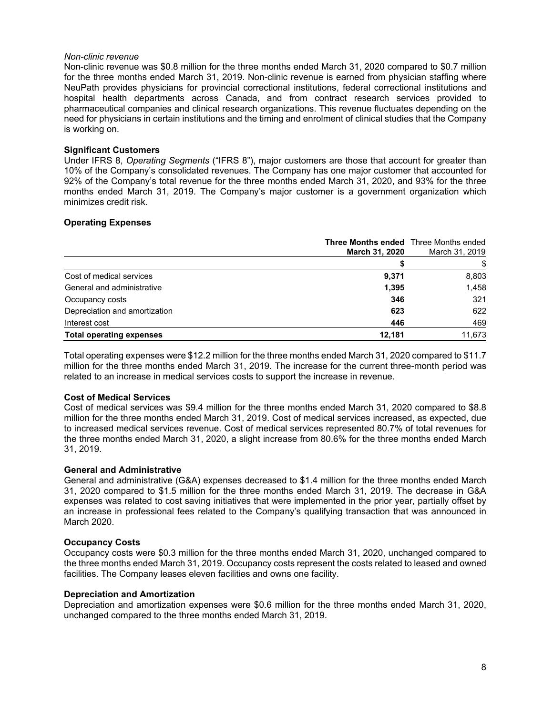#### *Non-clinic revenue*

Non-clinic revenue was \$0.8 million for the three months ended March 31, 2020 compared to \$0.7 million for the three months ended March 31, 2019. Non-clinic revenue is earned from physician staffing where NeuPath provides physicians for provincial correctional institutions, federal correctional institutions and hospital health departments across Canada, and from contract research services provided to pharmaceutical companies and clinical research organizations. This revenue fluctuates depending on the need for physicians in certain institutions and the timing and enrolment of clinical studies that the Company is working on.

#### **Significant Customers**

Under IFRS 8, *Operating Segments* ("IFRS 8"), major customers are those that account for greater than 10% of the Company's consolidated revenues. The Company has one major customer that accounted for 92% of the Company's total revenue for the three months ended March 31, 2020, and 93% for the three months ended March 31, 2019. The Company's major customer is a government organization which minimizes credit risk.

### **Operating Expenses**

|                                 | <b>Three Months ended</b> Three Months ended<br><b>March 31, 2020</b> | March 31, 2019 |
|---------------------------------|-----------------------------------------------------------------------|----------------|
|                                 |                                                                       |                |
| Cost of medical services        | 9,371                                                                 | 8,803          |
| General and administrative      | 1,395                                                                 | 1,458          |
| Occupancy costs                 | 346                                                                   | 321            |
| Depreciation and amortization   | 623                                                                   | 622            |
| Interest cost                   | 446                                                                   | 469            |
| <b>Total operating expenses</b> | 12.181                                                                | 11,673         |

Total operating expenses were \$12.2 million for the three months ended March 31, 2020 compared to \$11.7 million for the three months ended March 31, 2019. The increase for the current three-month period was related to an increase in medical services costs to support the increase in revenue.

#### **Cost of Medical Services**

Cost of medical services was \$9.4 million for the three months ended March 31, 2020 compared to \$8.8 million for the three months ended March 31, 2019. Cost of medical services increased, as expected, due to increased medical services revenue. Cost of medical services represented 80.7% of total revenues for the three months ended March 31, 2020, a slight increase from 80.6% for the three months ended March 31, 2019.

#### **General and Administrative**

General and administrative (G&A) expenses decreased to \$1.4 million for the three months ended March 31, 2020 compared to \$1.5 million for the three months ended March 31, 2019. The decrease in G&A expenses was related to cost saving initiatives that were implemented in the prior year, partially offset by an increase in professional fees related to the Company's qualifying transaction that was announced in March 2020.

#### **Occupancy Costs**

Occupancy costs were \$0.3 million for the three months ended March 31, 2020, unchanged compared to the three months ended March 31, 2019. Occupancy costs represent the costs related to leased and owned facilities. The Company leases eleven facilities and owns one facility.

#### **Depreciation and Amortization**

Depreciation and amortization expenses were \$0.6 million for the three months ended March 31, 2020, unchanged compared to the three months ended March 31, 2019.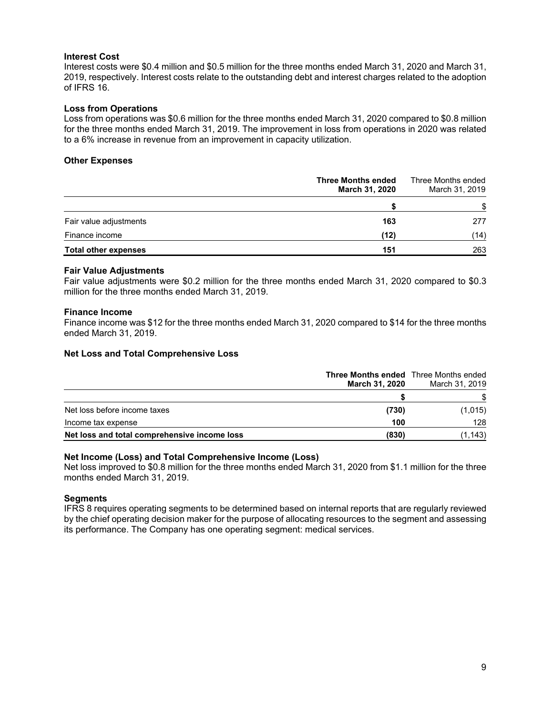#### **Interest Cost**

Interest costs were \$0.4 million and \$0.5 million for the three months ended March 31, 2020 and March 31, 2019, respectively. Interest costs relate to the outstanding debt and interest charges related to the adoption of IFRS 16.

### **Loss from Operations**

Loss from operations was \$0.6 million for the three months ended March 31, 2020 compared to \$0.8 million for the three months ended March 31, 2019. The improvement in loss from operations in 2020 was related to a 6% increase in revenue from an improvement in capacity utilization.

#### **Other Expenses**

|                             | <b>Three Months ended</b><br><b>March 31, 2020</b> | Three Months ended<br>March 31, 2019 |
|-----------------------------|----------------------------------------------------|--------------------------------------|
|                             |                                                    | \$                                   |
| Fair value adjustments      | 163                                                | 277                                  |
| Finance income              | (12)                                               | (14)                                 |
| <b>Total other expenses</b> | 151                                                | 263                                  |

#### **Fair Value Adjustments**

Fair value adjustments were \$0.2 million for the three months ended March 31, 2020 compared to \$0.3 million for the three months ended March 31, 2019.

#### **Finance Income**

Finance income was \$12 for the three months ended March 31, 2020 compared to \$14 for the three months ended March 31, 2019.

#### **Net Loss and Total Comprehensive Loss**

|                                              | <b>Three Months ended</b> Three Months ended<br><b>March 31, 2020</b> | March 31, 2019 |
|----------------------------------------------|-----------------------------------------------------------------------|----------------|
|                                              |                                                                       |                |
| Net loss before income taxes                 | (730)                                                                 | (1,015)        |
| Income tax expense                           | 100                                                                   | 128            |
| Net loss and total comprehensive income loss | (830)                                                                 | (1, 143)       |

### **Net Income (Loss) and Total Comprehensive Income (Loss)**

Net loss improved to \$0.8 million for the three months ended March 31, 2020 from \$1.1 million for the three months ended March 31, 2019.

#### **Segments**

IFRS 8 requires operating segments to be determined based on internal reports that are regularly reviewed by the chief operating decision maker for the purpose of allocating resources to the segment and assessing its performance. The Company has one operating segment: medical services.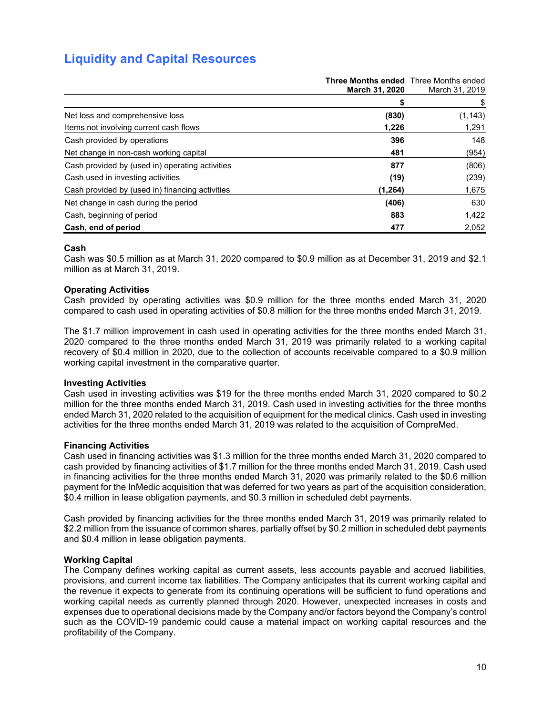## **Liquidity and Capital Resources**

|                                                 | <b>Three Months ended</b> Three Months ended<br><b>March 31, 2020</b> | March 31, 2019 |
|-------------------------------------------------|-----------------------------------------------------------------------|----------------|
|                                                 |                                                                       | \$             |
| Net loss and comprehensive loss                 | (830)                                                                 | (1, 143)       |
| Items not involving current cash flows          | 1.226                                                                 | 1,291          |
| Cash provided by operations                     | 396                                                                   | 148            |
| Net change in non-cash working capital          | 481                                                                   | (954)          |
| Cash provided by (used in) operating activities | 877                                                                   | (806)          |
| Cash used in investing activities               | (19)                                                                  | (239)          |
| Cash provided by (used in) financing activities | (1,264)                                                               | 1,675          |
| Net change in cash during the period            | (406)                                                                 | 630            |
| Cash, beginning of period                       | 883                                                                   | 1,422          |
| Cash, end of period                             | 477                                                                   | 2,052          |

### **Cash**

Cash was \$0.5 million as at March 31, 2020 compared to \$0.9 million as at December 31, 2019 and \$2.1 million as at March 31, 2019.

#### **Operating Activities**

Cash provided by operating activities was \$0.9 million for the three months ended March 31, 2020 compared to cash used in operating activities of \$0.8 million for the three months ended March 31, 2019.

The \$1.7 million improvement in cash used in operating activities for the three months ended March 31, 2020 compared to the three months ended March 31, 2019 was primarily related to a working capital recovery of \$0.4 million in 2020, due to the collection of accounts receivable compared to a \$0.9 million working capital investment in the comparative quarter.

#### **Investing Activities**

Cash used in investing activities was \$19 for the three months ended March 31, 2020 compared to \$0.2 million for the three months ended March 31, 2019. Cash used in investing activities for the three months ended March 31, 2020 related to the acquisition of equipment for the medical clinics. Cash used in investing activities for the three months ended March 31, 2019 was related to the acquisition of CompreMed.

#### **Financing Activities**

Cash used in financing activities was \$1.3 million for the three months ended March 31, 2020 compared to cash provided by financing activities of \$1.7 million for the three months ended March 31, 2019. Cash used in financing activities for the three months ended March 31, 2020 was primarily related to the \$0.6 million payment for the InMedic acquisition that was deferred for two years as part of the acquisition consideration, \$0.4 million in lease obligation payments, and \$0.3 million in scheduled debt payments.

Cash provided by financing activities for the three months ended March 31, 2019 was primarily related to \$2.2 million from the issuance of common shares, partially offset by \$0.2 million in scheduled debt payments and \$0.4 million in lease obligation payments.

#### **Working Capital**

The Company defines working capital as current assets, less accounts payable and accrued liabilities, provisions, and current income tax liabilities. The Company anticipates that its current working capital and the revenue it expects to generate from its continuing operations will be sufficient to fund operations and working capital needs as currently planned through 2020. However, unexpected increases in costs and expenses due to operational decisions made by the Company and/or factors beyond the Company's control such as the COVID-19 pandemic could cause a material impact on working capital resources and the profitability of the Company.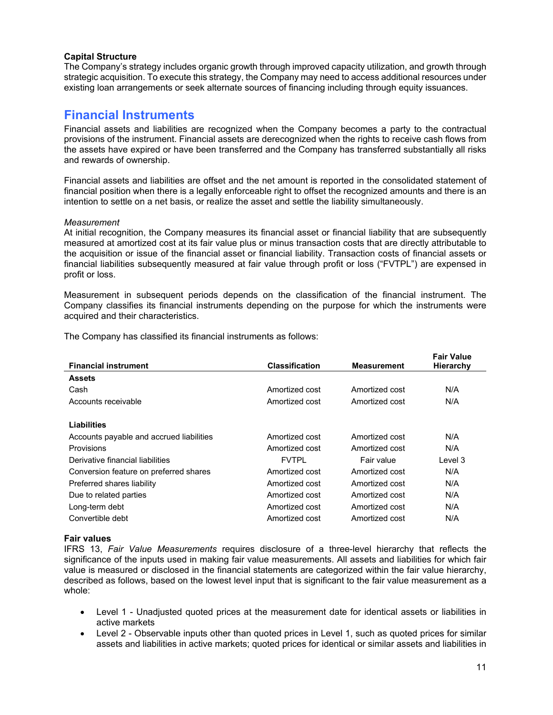### **Capital Structure**

The Company's strategy includes organic growth through improved capacity utilization, and growth through strategic acquisition. To execute this strategy, the Company may need to access additional resources under existing loan arrangements or seek alternate sources of financing including through equity issuances.

### **Financial Instruments**

Financial assets and liabilities are recognized when the Company becomes a party to the contractual provisions of the instrument. Financial assets are derecognized when the rights to receive cash flows from the assets have expired or have been transferred and the Company has transferred substantially all risks and rewards of ownership.

Financial assets and liabilities are offset and the net amount is reported in the consolidated statement of financial position when there is a legally enforceable right to offset the recognized amounts and there is an intention to settle on a net basis, or realize the asset and settle the liability simultaneously.

#### *Measurement*

At initial recognition, the Company measures its financial asset or financial liability that are subsequently measured at amortized cost at its fair value plus or minus transaction costs that are directly attributable to the acquisition or issue of the financial asset or financial liability. Transaction costs of financial assets or financial liabilities subsequently measured at fair value through profit or loss ("FVTPL") are expensed in profit or loss.

Measurement in subsequent periods depends on the classification of the financial instrument. The Company classifies its financial instruments depending on the purpose for which the instruments were acquired and their characteristics.

The Company has classified its financial instruments as follows:

| <b>Financial instrument</b>              | <b>Classification</b> | <b>Measurement</b> | Fair value<br>Hierarchy |
|------------------------------------------|-----------------------|--------------------|-------------------------|
| <b>Assets</b>                            |                       |                    |                         |
| Cash                                     | Amortized cost        | Amortized cost     | N/A                     |
| Accounts receivable                      | Amortized cost        | Amortized cost     | N/A                     |
|                                          |                       |                    |                         |
| Liabilities                              |                       |                    |                         |
| Accounts payable and accrued liabilities | Amortized cost        | Amortized cost     | N/A                     |
| Provisions                               | Amortized cost        | Amortized cost     | N/A                     |
| Derivative financial liabilities         | <b>FVTPL</b>          | Fair value         | Level 3                 |
| Conversion feature on preferred shares   | Amortized cost        | Amortized cost     | N/A                     |
| Preferred shares liability               | Amortized cost        | Amortized cost     | N/A                     |
| Due to related parties                   | Amortized cost        | Amortized cost     | N/A                     |
| Long-term debt                           | Amortized cost        | Amortized cost     | N/A                     |
| Convertible debt                         | Amortized cost        | Amortized cost     | N/A                     |

#### **Fair values**

IFRS 13, *Fair Value Measurements* requires disclosure of a three-level hierarchy that reflects the significance of the inputs used in making fair value measurements. All assets and liabilities for which fair value is measured or disclosed in the financial statements are categorized within the fair value hierarchy, described as follows, based on the lowest level input that is significant to the fair value measurement as a whole:

- Level 1 Unadjusted quoted prices at the measurement date for identical assets or liabilities in active markets
- Level 2 Observable inputs other than quoted prices in Level 1, such as quoted prices for similar assets and liabilities in active markets; quoted prices for identical or similar assets and liabilities in

**Fair Value**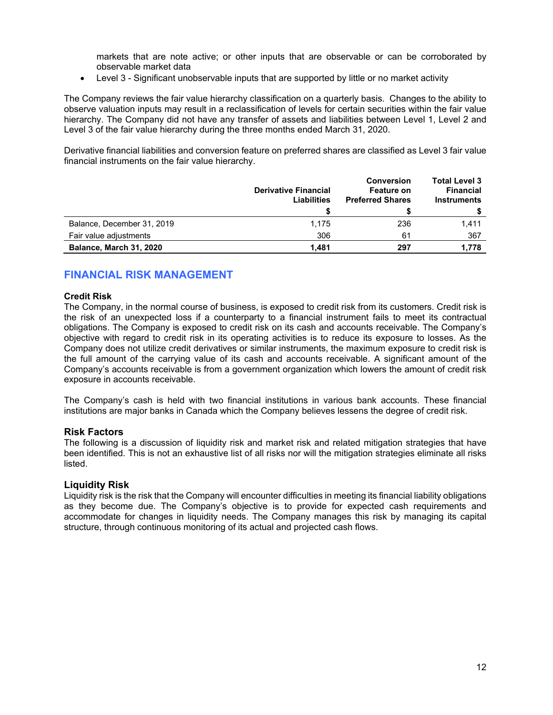markets that are note active; or other inputs that are observable or can be corroborated by observable market data

Level 3 - Significant unobservable inputs that are supported by little or no market activity

The Company reviews the fair value hierarchy classification on a quarterly basis. Changes to the ability to observe valuation inputs may result in a reclassification of levels for certain securities within the fair value hierarchy. The Company did not have any transfer of assets and liabilities between Level 1, Level 2 and Level 3 of the fair value hierarchy during the three months ended March 31, 2020.

Derivative financial liabilities and conversion feature on preferred shares are classified as Level 3 fair value financial instruments on the fair value hierarchy.

|                            | <b>Derivative Financial</b><br>Liabilities | <b>Conversion</b><br><b>Feature on</b><br><b>Preferred Shares</b> | <b>Total Level 3</b><br><b>Financial</b><br><b>Instruments</b> |
|----------------------------|--------------------------------------------|-------------------------------------------------------------------|----------------------------------------------------------------|
|                            |                                            |                                                                   |                                                                |
| Balance, December 31, 2019 | 1,175                                      | 236                                                               | 1,411                                                          |
| Fair value adjustments     | 306                                        | 61                                                                | 367                                                            |
| Balance, March 31, 2020    | 1.481                                      | 297                                                               | 1.778                                                          |

### **FINANCIAL RISK MANAGEMENT**

#### **Credit Risk**

The Company, in the normal course of business, is exposed to credit risk from its customers. Credit risk is the risk of an unexpected loss if a counterparty to a financial instrument fails to meet its contractual obligations. The Company is exposed to credit risk on its cash and accounts receivable. The Company's objective with regard to credit risk in its operating activities is to reduce its exposure to losses. As the Company does not utilize credit derivatives or similar instruments, the maximum exposure to credit risk is the full amount of the carrying value of its cash and accounts receivable. A significant amount of the Company's accounts receivable is from a government organization which lowers the amount of credit risk exposure in accounts receivable.

The Company's cash is held with two financial institutions in various bank accounts. These financial institutions are major banks in Canada which the Company believes lessens the degree of credit risk.

#### **Risk Factors**

The following is a discussion of liquidity risk and market risk and related mitigation strategies that have been identified. This is not an exhaustive list of all risks nor will the mitigation strategies eliminate all risks listed.

#### **Liquidity Risk**

Liquidity risk is the risk that the Company will encounter difficulties in meeting its financial liability obligations as they become due. The Company's objective is to provide for expected cash requirements and accommodate for changes in liquidity needs. The Company manages this risk by managing its capital structure, through continuous monitoring of its actual and projected cash flows.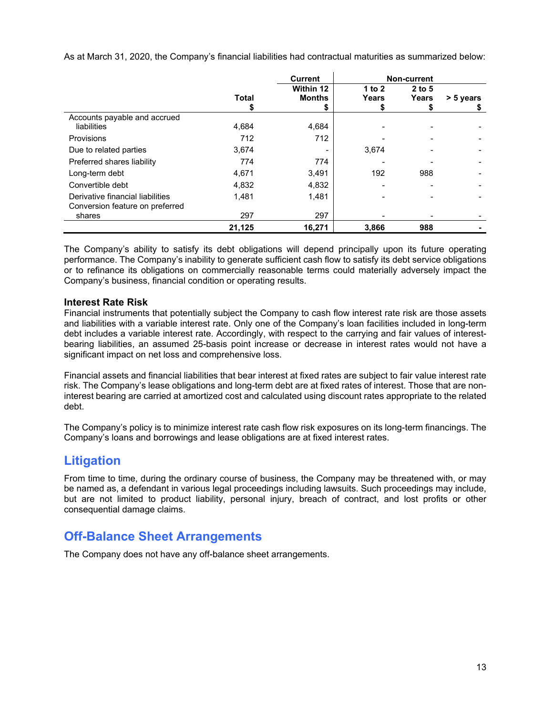As at March 31, 2020, the Company's financial liabilities had contractual maturities as summarized below:

|                                                                     | <b>Current</b> |               |          | <b>Non-current</b> |           |
|---------------------------------------------------------------------|----------------|---------------|----------|--------------------|-----------|
|                                                                     |                | Within 12     | 1 to $2$ | $2$ to 5           |           |
|                                                                     | <b>Total</b>   | <b>Months</b> | Years    | Years              | > 5 years |
|                                                                     |                | \$            | Ф        |                    |           |
| Accounts payable and accrued                                        |                |               |          |                    |           |
| liabilities                                                         | 4.684          | 4,684         |          |                    |           |
| Provisions                                                          | 712            | 712           |          |                    |           |
| Due to related parties                                              | 3.674          |               | 3,674    |                    |           |
| Preferred shares liability                                          | 774            | 774           |          |                    |           |
| Long-term debt                                                      | 4.671          | 3,491         | 192      | 988                |           |
| Convertible debt                                                    | 4,832          | 4,832         |          |                    |           |
| Derivative financial liabilities<br>Conversion feature on preferred | 1.481          | 1,481         |          |                    |           |
| shares                                                              | 297            | 297           |          |                    |           |
|                                                                     | 21,125         | 16,271        | 3,866    | 988                |           |

The Company's ability to satisfy its debt obligations will depend principally upon its future operating performance. The Company's inability to generate sufficient cash flow to satisfy its debt service obligations or to refinance its obligations on commercially reasonable terms could materially adversely impact the Company's business, financial condition or operating results.

### **Interest Rate Risk**

Financial instruments that potentially subject the Company to cash flow interest rate risk are those assets and liabilities with a variable interest rate. Only one of the Company's loan facilities included in long-term debt includes a variable interest rate. Accordingly, with respect to the carrying and fair values of interestbearing liabilities, an assumed 25-basis point increase or decrease in interest rates would not have a significant impact on net loss and comprehensive loss.

Financial assets and financial liabilities that bear interest at fixed rates are subject to fair value interest rate risk. The Company's lease obligations and long-term debt are at fixed rates of interest. Those that are noninterest bearing are carried at amortized cost and calculated using discount rates appropriate to the related debt.

The Company's policy is to minimize interest rate cash flow risk exposures on its long-term financings. The Company's loans and borrowings and lease obligations are at fixed interest rates.

### **Litigation**

From time to time, during the ordinary course of business, the Company may be threatened with, or may be named as, a defendant in various legal proceedings including lawsuits. Such proceedings may include, but are not limited to product liability, personal injury, breach of contract, and lost profits or other consequential damage claims.

## **Off-Balance Sheet Arrangements**

The Company does not have any off-balance sheet arrangements.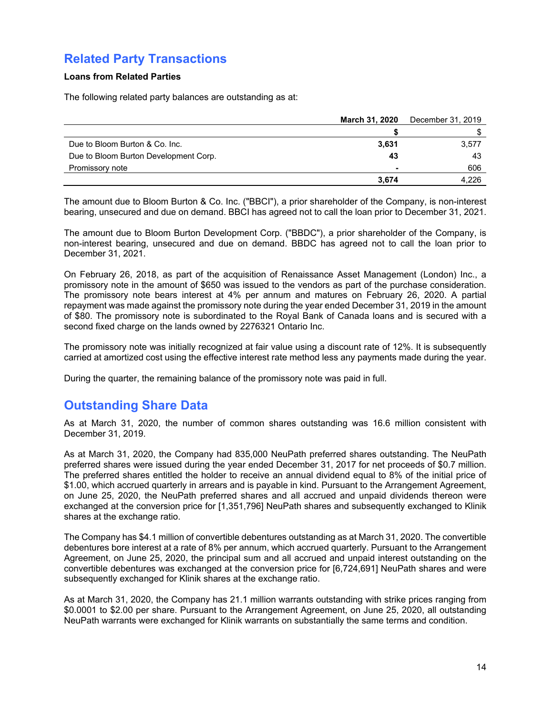## **Related Party Transactions**

### **Loans from Related Parties**

The following related party balances are outstanding as at:

|                                       | March 31, 2020           | December 31, 2019 |
|---------------------------------------|--------------------------|-------------------|
|                                       |                          |                   |
| Due to Bloom Burton & Co. Inc.        | 3,631                    | 3,577             |
| Due to Bloom Burton Development Corp. | 43                       | 43                |
| Promissory note                       | $\overline{\phantom{0}}$ | 606               |
|                                       | 3.674                    | 4,226             |

The amount due to Bloom Burton & Co. Inc. ("BBCI"), a prior shareholder of the Company, is non-interest bearing, unsecured and due on demand. BBCI has agreed not to call the loan prior to December 31, 2021.

The amount due to Bloom Burton Development Corp. ("BBDC"), a prior shareholder of the Company, is non-interest bearing, unsecured and due on demand. BBDC has agreed not to call the loan prior to December 31, 2021.

On February 26, 2018, as part of the acquisition of Renaissance Asset Management (London) Inc., a promissory note in the amount of \$650 was issued to the vendors as part of the purchase consideration. The promissory note bears interest at 4% per annum and matures on February 26, 2020. A partial repayment was made against the promissory note during the year ended December 31, 2019 in the amount of \$80. The promissory note is subordinated to the Royal Bank of Canada loans and is secured with a second fixed charge on the lands owned by 2276321 Ontario Inc.

The promissory note was initially recognized at fair value using a discount rate of 12%. It is subsequently carried at amortized cost using the effective interest rate method less any payments made during the year.

During the quarter, the remaining balance of the promissory note was paid in full.

## **Outstanding Share Data**

As at March 31, 2020, the number of common shares outstanding was 16.6 million consistent with December 31, 2019.

As at March 31, 2020, the Company had 835,000 NeuPath preferred shares outstanding. The NeuPath preferred shares were issued during the year ended December 31, 2017 for net proceeds of \$0.7 million. The preferred shares entitled the holder to receive an annual dividend equal to 8% of the initial price of \$1.00, which accrued quarterly in arrears and is payable in kind. Pursuant to the Arrangement Agreement, on June 25, 2020, the NeuPath preferred shares and all accrued and unpaid dividends thereon were exchanged at the conversion price for [1,351,796] NeuPath shares and subsequently exchanged to Klinik shares at the exchange ratio.

The Company has \$4.1 million of convertible debentures outstanding as at March 31, 2020. The convertible debentures bore interest at a rate of 8% per annum, which accrued quarterly. Pursuant to the Arrangement Agreement, on June 25, 2020, the principal sum and all accrued and unpaid interest outstanding on the convertible debentures was exchanged at the conversion price for [6,724,691] NeuPath shares and were subsequently exchanged for Klinik shares at the exchange ratio.

As at March 31, 2020, the Company has 21.1 million warrants outstanding with strike prices ranging from \$0.0001 to \$2.00 per share. Pursuant to the Arrangement Agreement, on June 25, 2020, all outstanding NeuPath warrants were exchanged for Klinik warrants on substantially the same terms and condition.